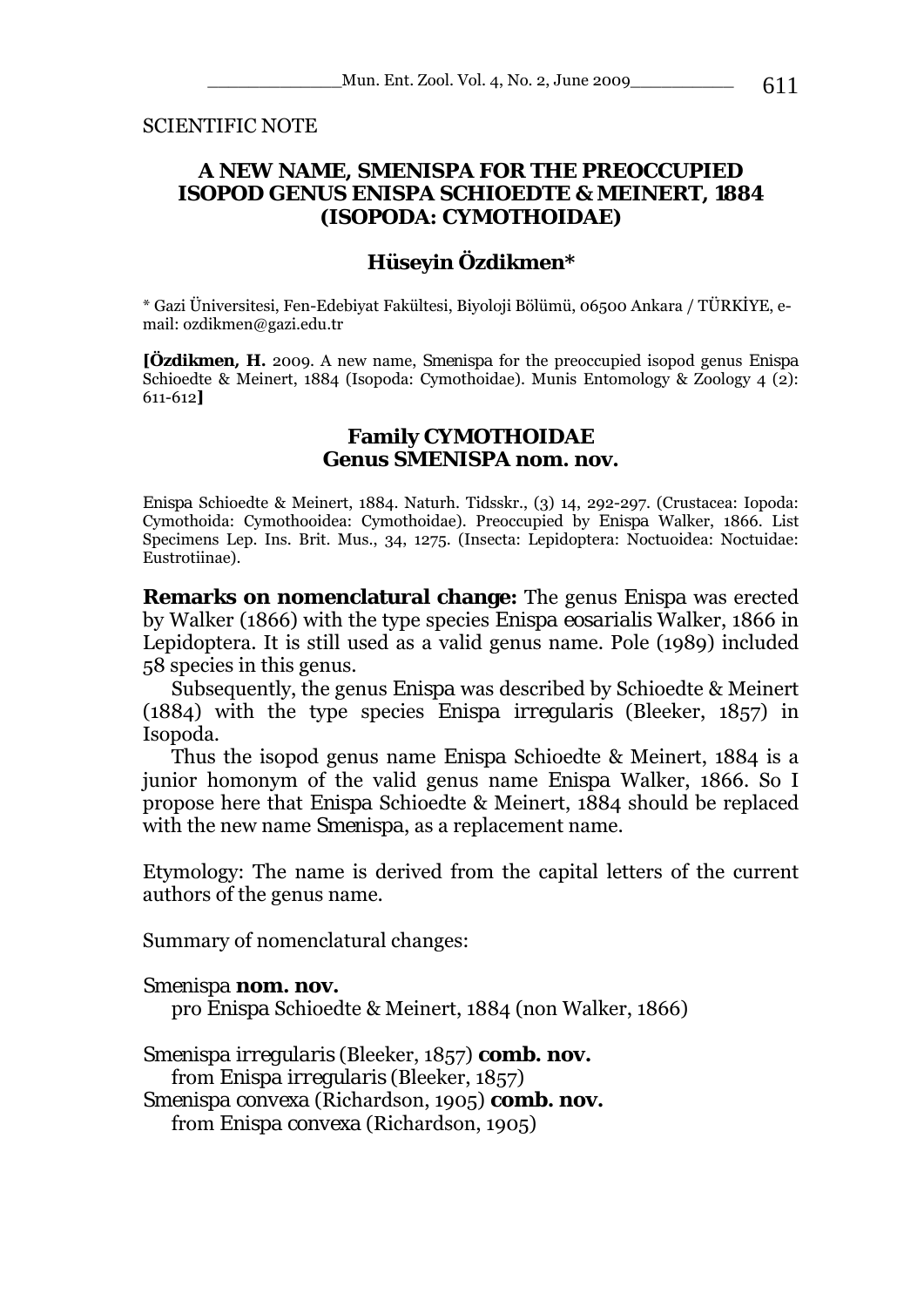SCIENTIFIC NOTE

## **A NEW NAME,** *SMENISPA* **FOR THE PREOCCUPIED ISOPOD GENUS** *ENISPA* **SCHIOEDTE & MEINERT, 1884 (ISOPODA: CYMOTHOIDAE)**

# **Hüseyin Özdikmen\***

\* Gazi Üniversitesi, Fen-Edebiyat Fakültesi, Biyoloji Bölümü, 06500 Ankara / TÜRKİYE, email: ozdikmen@gazi.edu.tr

**[Özdikmen, H.** 2009. A new name, *Smenispa* for the preoccupied isopod genus *Enispa*  Schioedte & Meinert, 1884 (Isopoda: Cymothoidae). Munis Entomology & Zoology 4 (2): 611-612**]**

#### **Family CYMOTHOIDAE Genus** *SMENISPA* **nom. nov.**

*Enispa* Schioedte & Meinert, 1884. Naturh. Tidsskr., (3) 14, 292-297. (Crustacea: Iopoda: Cymothoida: Cymothooidea: Cymothoidae). Preoccupied by *Enispa* Walker, 1866. List Specimens Lep. Ins. Brit. Mus., 34, 1275. (Insecta: Lepidoptera: Noctuoidea: Noctuidae: Eustrotiinae).

**Remarks on nomenclatural change:** The genus *Enispa* was erected by Walker (1866) with the type species *Enispa eosarialis* Walker, 1866 in Lepidoptera. It is still used as a valid genus name. Pole (1989) included 58 species in this genus.

Subsequently, the genus *Enispa* was described by Schioedte & Meinert (1884) with the type species *Enispa irregularis* (Bleeker, 1857) in Isopoda.

Thus the isopod genus name *Enispa* Schioedte & Meinert, 1884 is a junior homonym of the valid genus name *Enispa* Walker, 1866. So I propose here that *Enispa* Schioedte & Meinert, 1884 should be replaced with the new name *Smenispa*, as a replacement name.

Etymology: The name is derived from the capital letters of the current authors of the genus name.

Summary of nomenclatural changes:

#### *Smenispa* **nom. nov.**

pro *Enispa* Schioedte & Meinert, 1884 (non Walker, 1866)

*Smenispa irregularis* (Bleeker, 1857) **comb. nov.**  from *Enispa irregularis* (Bleeker, 1857) *Smenispa convexa* (Richardson, 1905) **comb. nov.**  from *Enispa convexa* (Richardson, 1905)